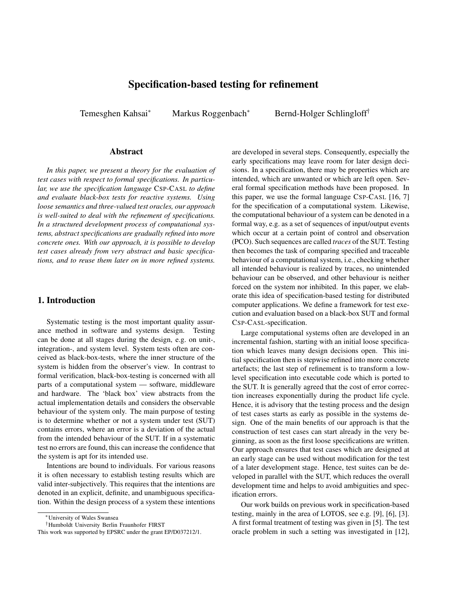# Specification-based testing for refinement

Temesghen Kahsai<sup>∗</sup> Markus Roggenbach<sup>∗</sup> Bernd-Holger Schlingloff<sup>†</sup>

### Abstract

*In this paper, we present a theory for the evaluation of test cases with respect to formal specifications. In particular, we use the specification language* CSP*-*CASL *to define and evaluate black-box tests for reactive systems. Using loose semantics and three-valued test oracles, our approach is well-suited to deal with the refinement of specifications. In a structured development process of computational systems, abstract specifications are gradually refined into more concrete ones. With our approach, it is possible to develop test cases already from very abstract and basic specifications, and to reuse them later on in more refined systems.*

### 1. Introduction

Systematic testing is the most important quality assurance method in software and systems design. Testing can be done at all stages during the design, e.g. on unit-, integration-, and system level. System tests often are conceived as black-box-tests, where the inner structure of the system is hidden from the observer's view. In contrast to formal verification, black-box-testing is concerned with all parts of a computational system — software, middleware and hardware. The 'black box' view abstracts from the actual implementation details and considers the observable behaviour of the system only. The main purpose of testing is to determine whether or not a system under test (SUT) contains errors, where an error is a deviation of the actual from the intended behaviour of the SUT. If in a systematic test no errors are found, this can increase the confidence that the system is apt for its intended use.

Intentions are bound to individuals. For various reasons it is often necessary to establish testing results which are valid inter-subjectively. This requires that the intentions are denoted in an explicit, definite, and unambiguous specification. Within the design process of a system these intentions

†Humboldt University Berlin Fraunhofer FIRST

are developed in several steps. Consequently, especially the early specifications may leave room for later design decisions. In a specification, there may be properties which are intended, which are unwanted or which are left open. Several formal specification methods have been proposed. In this paper, we use the formal language CSP-CASL [16, 7] for the specification of a computational system. Likewise, the computational behaviour of a system can be denoted in a formal way, e.g. as a set of sequences of input/output events which occur at a certain point of control and observation (PCO). Such sequences are called *traces* of the SUT. Testing then becomes the task of comparing specified and traceable behaviour of a computational system, i.e., checking whether all intended behaviour is realized by traces, no unintended behaviour can be observed, and other behaviour is neither forced on the system nor inhibited. In this paper, we elaborate this idea of specification-based testing for distributed computer applications. We define a framework for test execution and evaluation based on a black-box SUT and formal CSP-CASL-specification.

Large computational systems often are developed in an incremental fashion, starting with an initial loose specification which leaves many design decisions open. This initial specification then is stepwise refined into more concrete artefacts; the last step of refinement is to transform a lowlevel specification into executable code which is ported to the SUT. It is generally agreed that the cost of error correction increases exponentially during the product life cycle. Hence, it is advisory that the testing process and the design of test cases starts as early as possible in the systems design. One of the main benefits of our approach is that the construction of test cases can start already in the very beginning, as soon as the first loose specifications are written. Our approach ensures that test cases which are designed at an early stage can be used without modification for the test of a later development stage. Hence, test suites can be developed in parallel with the SUT, which reduces the overall development time and helps to avoid ambiguities and specification errors.

Our work builds on previous work in specification-based testing, mainly in the area of LOTOS, see e.g. [9], [6], [3]. A first formal treatment of testing was given in [5]. The test oracle problem in such a setting was investigated in [12],

<sup>∗</sup>University of Wales Swansea

This work was supported by EPSRC under the grant EP/D037212/1.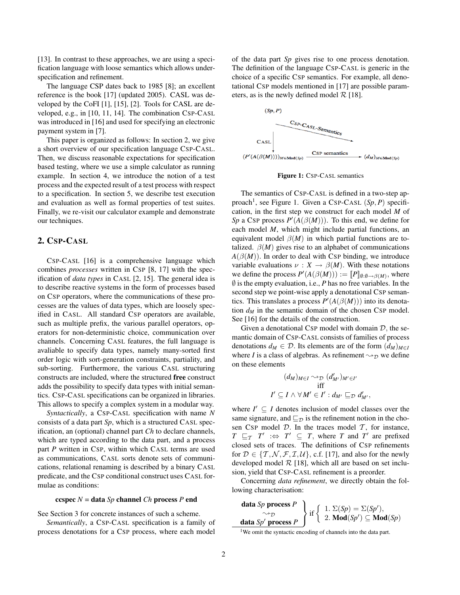[13]. In contrast to these approaches, we are using a specification language with loose semantics which allows underspecification and refinement.

The language CSP dates back to 1985 [8]; an excellent reference is the book [17] (updated 2005). CASL was developed by the CoFI [1], [15], [2]. Tools for CASL are developed, e.g., in [10, 11, 14]. The combination CSP-CASL was introduced in [16] and used for specifying an electronic payment system in [7].

This paper is organized as follows: In section 2, we give a short overview of our specification language CSP-CASL. Then, we discuss reasonable expectations for specification based testing, where we use a simple calculator as running example. In section 4, we introduce the notion of a test process and the expected result of a test process with respect to a specification. In section 5, we describe test execution and evaluation as well as formal properties of test suites. Finally, we re-visit our calculator example and demonstrate our techniques.

## 2. CSP-CASL

CSP-CASL [16] is a comprehensive language which combines *processes* written in CSP [8, 17] with the specification of *data types* in CASL [2, 15]. The general idea is to describe reactive systems in the form of processes based on CSP operators, where the communications of these processes are the values of data types, which are loosely specified in CASL. All standard CSP operators are available, such as multiple prefix, the various parallel operators, operators for non-deterministic choice, communication over channels. Concerning CASL features, the full language is avaliable to specify data types, namely many-sorted first order logic with sort-generation constraints, partiality, and sub-sorting. Furthermore, the various CASL structuring constructs are included, where the structured free construct adds the possibility to specify data types with initial semantics. CSP-CASL specifications can be organized in libraries. This allows to specify a complex system in a modular way.

*Syntactically*, a CSP-CASL specification with name *N* consists of a data part *Sp*, which is a structured CASL specification, an (optional) channel part *Ch* to declare channels, which are typed according to the data part, and a process part *P* written in CSP, within which CASL terms are used as communications, CASL sorts denote sets of communications, relational renaming is described by a binary CASL predicate, and the CSP conditional construct uses CASL formulae as conditions:

#### ccspec *N* = data *Sp* channel *Ch* process *P* end

See Section 3 for concrete instances of such a scheme.

*Semantically*, a CSP-CASL specification is a family of process denotations for a CSP process, where each model of the data part *Sp* gives rise to one process denotation. The definition of the language CSP-CASL is generic in the choice of a specific CSP semantics. For example, all denotational CSP models mentioned in [17] are possible parameters, as is the newly defined model  $\mathcal{R}$  [18].



Figure 1: CSP-CASL semantics

The semantics of CSP-CASL is defined in a two-step approach<sup>1</sup>, see Figure 1. Given a CSP-CASL (Sp, P) specification, in the first step we construct for each model *M* of Sp a CSP process  $P'(A(\beta(M)))$ . To this end, we define for each model *M*, which might include partial functions, an equivalent model  $\beta(M)$  in which partial functions are totalized.  $\beta(M)$  gives rise to an alphabet of communications  $A(\beta(M))$ . In order to deal with CSP binding, we introduce variable evaluations  $\nu : X \to \beta(M)$ . With these notations we define the process  $P'(A(\beta(M))) := [P]_{\emptyset:\emptyset \to \beta(M)}$ , where  $\emptyset$  is the empty evaluation, i.e., *P* has no free variables. In the second step we point-wise apply a denotational CSP semantics. This translates a process  $P'(A(\beta(M)))$  into its denotation  $d_M$  in the semantic domain of the chosen CSP model. See [16] for the details of the construction.

Given a denotational CSP model with domain  $D$ , the semantic domain of CSP-CASL consists of families of process denotations  $d_M \in \mathcal{D}$ . Its elements are of the form  $(d_M)_{M \in \mathcal{I}}$ where *I* is a class of algebras. As refinement  $\rightsquigarrow_{\mathcal{D}}$  we define on these elements

$$
(d_M)_{M \in I} \sim_{\mathcal{D}} (d'_{M'})_{M' \in I'}
$$
  
iff  

$$
I' \subseteq I \land \forall M' \in I': d_{M'} \sqsubseteq_{\mathcal{D}} d'_{M'},
$$

where  $I' \subseteq I$  denotes inclusion of model classes over the same signature, and  $\sqsubseteq_{\mathcal{D}}$  is the refinement notion in the chosen CSP model  $D$ . In the traces model  $T$ , for instance,  $T \subseteq T$  *T*  $\iff T' \subseteq T$ , where *T* and *T'* are prefixed closed sets of traces. The definitions of CSP refinements for  $\mathcal{D} \in \{ \mathcal{T}, \mathcal{N}, \mathcal{F}, \mathcal{I}, \mathcal{U} \}$ , c.f. [17], and also for the newly developed model  $R$  [18], which all are based on set inclusion, yield that CSP-CASL refinement is a preorder.

Concerning *data refinement*, we directly obtain the following characterisation:

| data $Sp$ process $P$<br>data $Sp'$ process $P$ | $\left\{\begin{array}{l}\text{if }\left\{ \begin{array}{l} 1. \ \Sigma(Sp)=\Sigma(Sp'), \ 2. \ \textbf{Mod}(Sp')\subseteq \textbf{Mod}(Sp)\end{array}\right. \end{array}\right.$ |
|-------------------------------------------------|----------------------------------------------------------------------------------------------------------------------------------------------------------------------------------|
|-------------------------------------------------|----------------------------------------------------------------------------------------------------------------------------------------------------------------------------------|

<sup>&</sup>lt;sup>1</sup>We omit the syntactic encoding of channels into the data part.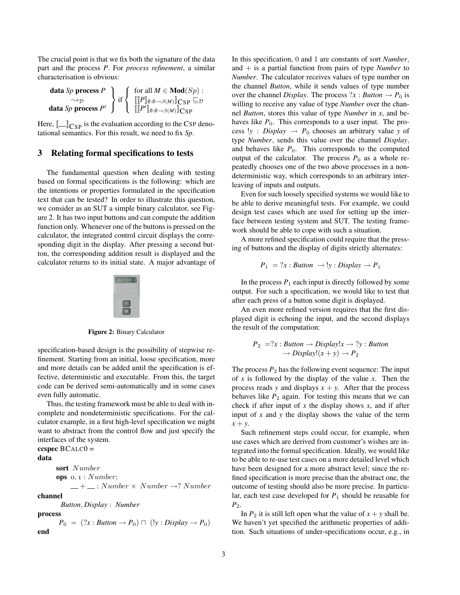The crucial point is that we fix both the signature of the data part and the process *P*. For *process refinement*, a similar characterisation is obvious:

$$
\left\{\n\begin{array}{c}\n\text{data } Sp \text{ process } P \\
\hline\n\end{array}\n\right\}\n\text{if}\n\left\{\n\begin{array}{c}\n\text{for all } M \in \text{Mod}(Sp):\n\\ \left[\n\begin{array}{c}\n\left[\n\begin{array}{c}\nP\right]\n\left[0:0 \to \beta(M)\n\end{array}\n\right]\n\end{array}\n\right]\n\text{CSP} \subseteq \mathcal{D}\n\\ \left[\n\left[\n\begin{array}{c}\nP'\right]\n\left[0:0 \to \beta(M)\n\end{array}\n\right]\n\text{CSP}\n\end{array}\n\right]
$$

Here,  $\llbracket \_\_\right]_{\text{CSP}}$  is the evaluation according to the CSP denotational semantics. For this result, we need to fix *Sp*.

### 3 Relating formal specifications to tests

The fundamental question when dealing with testing based on formal specifications is the following: which are the intentions or properties formulated in the specification text that can be tested? In order to illustrate this question, we consider as an SUT a simple binary calculator, see Figure 2. It has two input buttons and can compute the addition function only. Whenever one of the buttons is pressed on the calculator, the integrated control circuit displays the corresponding digit in the display. After pressing a second button, the corresponding addition result is displayed and the calculator returns to its initial state. A major advantage of



Figure 2: Binary Calculator

specification-based design is the possibility of stepwise refinement. Starting from an initial, loose specification, more and more details can be added until the specification is effective, deterministic and executable. From this, the target code can be derived semi-automatically and in some cases even fully automatic.

Thus, the testing framework must be able to deal with incomplete and nondeterministic specifications. For the calculator example, in a first high-level specification we might want to abstract from the control flow and just specify the interfaces of the system.

```
ccspec BCALCO =data
      sort Number
      ops o, 1 : Number;- + - : Number \times Number \rightarrow? Number
channel
        Button, Display : Number
process
       P_0 = (?x : Button \rightarrow P_0) \sqcap (!y : Display \rightarrow P_0)end
```
In this specification, 0 and 1 are constants of sort *Number*, and + is a partial function from pairs of type *Number* to *Number*. The calculator receives values of type number on the channel *Button*, while it sends values of type number over the channel *Display*. The process  $?x : Button \rightarrow P_0$  is willing to receive any value of type *Number* over the channel *Button*, stores this value of type *Number* in *x*, and behaves like  $P_0$ . This corresponds to a user input. The process  $!y$  : *Display*  $\rightarrow$  *P*<sub>0</sub> chooses an arbitrary value *y* of type *Number*, sends this value over the channel *Display*, and behaves like  $P_0$ . This corresponds to the computed output of the calculator. The process  $P_0$  as a whole repeatedly chooses one of the two above processes in a nondeterministic way, which corresponds to an arbitrary interleaving of inputs and outputs.

Even for such loosely specified systems we would like to be able to derive meaningful tests. For example, we could design test cases which are used for setting up the interface between testing system and SUT. The testing framework should be able to cope with such a situation.

A more refined specification could require that the pressing of buttons and the display of digits strictly alternates:

$$
P_1 = ?x : Button \rightarrow !y : Display \rightarrow P_1
$$

In the process  $P_1$  each input is directly followed by some output. For such a specification, we would like to test that after each press of a button some digit is displayed.

An even more refined version requires that the first displayed digit is echoing the input, and the second displays the result of the computation:

$$
P_2 = ?x : Button \rightarrow Display!x \rightarrow ?y : Button
$$

$$
\rightarrow Display! (x + y) \rightarrow P_2
$$

The process  $P_2$  has the following event sequence: The input of *x* is followed by the display of the value *x*. Then the process reads *y* and displays  $x + y$ . After that the process behaves like  $P_2$  again. For testing this means that we can check if after input of  $x$  the display shows  $x$ , and if after input of *x* and *y* the display shows the value of the term *x* + *y*.

Such refinement steps could occur, for example, when use cases which are derived from customer's wishes are integrated into the formal specification. Ideally, we would like to be able to re-use test cases on a more detailed level which have been designed for a more abstract level; since the refined specification is more precise than the abstract one, the outcome of testing should also be more precise. In particular, each test case developed for *P*<sup>1</sup> should be reusable for *P*2.

In  $P_2$  it is still left open what the value of  $x + y$  shall be. We haven't yet specified the arithmetic properties of addition. Such situations of under-specifications occur, e.g., in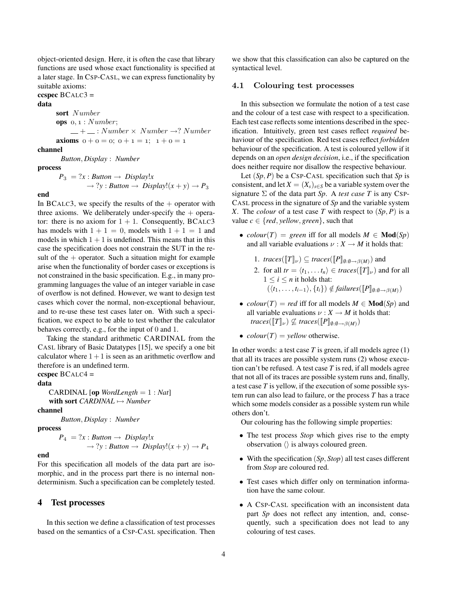object-oriented design. Here, it is often the case that library functions are used whose exact functionality is specified at a later stage. In CSP-CASL, we can express functionality by suitable axioms:

ccspec  $BCALC3 =$ 

data

sort Number

ops  $o, 1 : Number;$  $-$  +  $-$  : Number  $\times$  Number  $\rightarrow$ ? Number axioms  $0 + 0 = 0$ ;  $0 + 1 = 1$ ;  $1 + 0 = 1$ 

# channel

*Button*, *Display* : *Number*

process

 $P_3 = ?x : Button \rightarrow Display!x$  $\rightarrow$  ?*y* : *Button*  $\rightarrow$  *Display*! $(x + y) \rightarrow P_3$ 

#### end

In BCALC3, we specify the results of the  $+$  operator with three axioms. We deliberately under-specify the  $+$  operator: there is no axiom for  $1 + 1$ . Consequently, BCALC3 has models with  $1 + 1 = 0$ , models with  $1 + 1 = 1$  and models in which  $1 + 1$  is undefined. This means that in this case the specification does not constrain the SUT in the result of the  $+$  operator. Such a situation might for example arise when the functionality of border cases or exceptions is not constrained in the basic specification. E.g., in many programming languages the value of an integer variable in case of overflow is not defined. However, we want to design test cases which cover the normal, non-exceptional behaviour, and to re-use these test cases later on. With such a specification, we expect to be able to test whether the calculator behaves correctly, e.g., for the input of 0 and 1.

Taking the standard arithmetic CARDINAL from the CASL library of Basic Datatypes [15], we specify a one bit calculator where  $1 + 1$  is seen as an arithmetic overflow and therefore is an undefined term.

ccspec  $BCALC4 =$ 

### data

CARDINAL [op *WordLength* = 1 : *Nat*] with sort *CARDINAL* 7→ *Number*

channel

*Button*, *Display* : *Number*

### process

 $P_4 = ?x : Button \rightarrow Display!x$  $\rightarrow$  ?*y* : *Button*  $\rightarrow$  *Display*! $(x + y) \rightarrow P_4$ 

#### end

For this specification all models of the data part are isomorphic, and in the process part there is no internal nondeterminism. Such a specification can be completely tested.

#### 4 Test processes

In this section we define a classification of test processes based on the semantics of a CSP-CASL specification. Then we show that this classification can also be captured on the syntactical level.

### 4.1 Colouring test processes

In this subsection we formulate the notion of a test case and the colour of a test case with respect to a specification. Each test case reflects some intentions described in the specification. Intuitively, green test cases reflect *required* behaviour of the specification. Red test cases reflect *forbidden* behaviour of the specification. A test is coloured yellow if it depends on an *open design decision*, i.e., if the specification does neither require nor disallow the respective behaviour.

Let (*Sp*, *P*) be a CSP-CASL specification such that *Sp* is consistent, and let  $X = (X_s)_{s \in S}$  be a variable system over the signature  $\Sigma$  of the data part *Sp.* A *test case T* is any CSP-CASL process in the signature of *Sp* and the variable system *X*. The *colour* of a test case *T* with respect to (*Sp*, *P*) is a value  $c \in \{red, yellow, green\}$ , such that

- *colour*(*T*) = *green* iff for all models  $M \in \textbf{Mod}(Sp)$ and all variable evaluations  $\nu : X \to M$  it holds that:
	- 1. *traces*( $[T]_{\nu}$ )  $\subseteq$  *traces*( $[P]_{\emptyset:\emptyset \to \beta(M)}$ ) and
	- 2. for all  $tr = \langle t_1, \ldots t_n \rangle \in \text{traces}(\llbracket T \rrbracket_{\nu})$  and for all  $1 \leq i \leq n$  it holds that:  $(\langle t_1, \ldots, t_{i-1} \rangle, \{t_i\}) \notin failures([\![P]\!]_{\emptyset:\emptyset \to \beta(M)})$
- *colour*(*T*) = *red* iff for all models  $M \in Mod(S_p)$  and all variable evaluations  $\nu : X \to M$  it holds that: *traces*( $[T]_{\nu}$ )  $\nsubseteq$  *traces*( $[P]_{\emptyset:\emptyset \to \beta(M)}$ )
- $\text{colour}(T) = \text{yellow}$  otherwise.

In other words: a test case *T* is green, if all models agree (1) that all its traces are possible system runs (2) whose execution can't be refused. A test case *T* is red, if all models agree that not all of its traces are possible system runs and, finally, a test case *T* is yellow, if the execution of some possible system run can also lead to failure, or the process *T* has a trace which some models consider as a possible system run while others don't.

Our colouring has the following simple properties:

- The test process *Stop* which gives rise to the empty observation  $\langle \rangle$  is always coloured green.
- With the specification (*Sp*, *Stop*) all test cases different from *Stop* are coloured red.
- Test cases which differ only on termination information have the same colour.
- A CSP-CASL specification with an inconsistent data part *Sp* does not reflect any intention, and, consequently, such a specification does not lead to any colouring of test cases.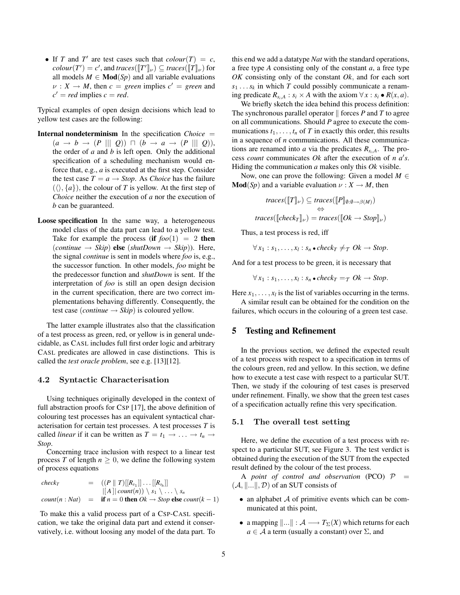• If *T* and *T'* are test cases such that  $\text{colour}(T) = c$ ,  $\textit{colour}(T') = c'$ , and  $\textit{traces}([\![T']\!]_{\nu}) \subseteq \textit{traces}([\![T]\!]_{\nu})$  for all models  $M \in Mod(S_p)$  and all variable evaluations  $\nu : X \to M$ , then  $c = green$  implies  $c' = green$  and  $c' = red$  implies  $c = red$ .

Typical examples of open design decisions which lead to yellow test cases are the following:

- Internal nondeterminism In the specification *Choice* =  $(a \rightarrow b \rightarrow (P \parallel \parallel Q)) \sqcap (b \rightarrow a \rightarrow (P \parallel \parallel Q)),$ the order of *a* and *b* is left open. Only the additional specification of a scheduling mechanism would enforce that, e.g., *a* is executed at the first step. Consider the test case  $T = a \rightarrow Stop$ . As *Choice* has the failure  $({\langle} \rangle, {a})$ , the colour of *T* is yellow. At the first step of *Choice* neither the execution of *a* nor the execution of *b* can be guaranteed.
- Loose specification In the same way, a heterogeneous model class of the data part can lead to a yellow test. Take for example the process (if  $foo(1) = 2$  then  $(continue \rightarrow Skip)$  **else**  $(shutDown \rightarrow Skip)$ . Here, the signal *continue* is sent in models where *foo* is, e.g., the successor function. In other models, *foo* might be the predecessor function and *shutDown* is sent. If the interpretation of *foo* is still an open design decision in the current specification, there are two correct implementations behaving differently. Consequently, the test case (*continue*  $\rightarrow$  *Skip*) is coloured yellow.

The latter example illustrates also that the classification of a test process as green, red, or yellow is in general undecidable, as CASL includes full first order logic and arbitrary CASL predicates are allowed in case distinctions. This is called the *test oracle problem*, see e.g. [13][12].

#### 4.2 Syntactic Characterisation

Using techniques originally developed in the context of full abstraction proofs for CSP [17], the above definition of colouring test processes has an equivalent syntactical characterisation for certain test processes. A test processes *T* is called *linear* if it can be written as  $T = t_1 \rightarrow \ldots \rightarrow t_n \rightarrow$ *Stop*.

Concerning trace inclusion with respect to a linear test process *T* of length  $n \geq 0$ , we define the following system of process equations

$$
\begin{array}{rcl}\n\text{check}_{T} & = & ((P \parallel T)[[R_{s_1}]] \dots [[R_{s_h}]] \\
& & [[A] | \text{count}(n)) \setminus s_1 \setminus \dots \setminus s_n \\
\text{count}(n : \text{Nat}) & = & \text{if } n = 0 \text{ then } \text{Ok} \rightarrow \text{Stop else } \text{count}(k-1)\n\end{array}
$$

To make this a valid process part of a CSP-CASL specification, we take the original data part and extend it conservatively, i.e. without loosing any model of the data part. To this end we add a datatype *Nat* with the standard operations, a free type *A* consisting only of the constant *a*, a free type *OK* consisting only of the constant *Ok*, and for each sort  $s_1 \ldots s_k$  in which *T* could possibly communicate a renaming predicate  $R_{s_i, A}: s_i \times A$  with the axiom  $\forall x: s_i \bullet R(x, a)$ .

We briefly sketch the idea behind this process definition: The synchronous parallel operator  $\parallel$  forces *P* and *T* to agree on all communications. Should *P* agree to execute the communications  $t_1, \ldots, t_n$  of *T* in exactly this order, this results in a sequence of *n* communications. All these communications are renamed into *a* via the predicates  $R_{s_i, A}$ . The process *count* communicates  $Ok$  after the execution of  $n \, a's$ . Hiding the communication *a* makes only this *Ok* visible.

Now, one can prove the following: Given a model  $M \in$  $\text{Mod}(Sp)$  and a variable evaluation  $\nu : X \to M$ , then

$$
traces([\![T]\!]_{\nu}) \subseteq traces([\![P]\!]_{\emptyset:\emptyset \to \beta(M)})
$$
  
\n
$$
\Leftrightarrow
$$
  
\n
$$
traces([\![check]\!]_{\nu}) = traces([\![OK \to Stop]\!]_{\nu})
$$

Thus, a test process is red, iff

 $\forall x_1 : s_1, \ldots, x_l : s_n \cdot check_T \neq_T Ok \rightarrow Stop$ .

And for a test process to be green, it is necessary that

 $\forall x_1 : s_1, \ldots, x_l : s_n \cdot check_T = \tau \; Ok \to Stop.$ 

Here  $x_1, \ldots, x_l$  is the list of variables occurring in the terms.

A similar result can be obtained for the condition on the failures, which occurs in the colouring of a green test case.

### 5 Testing and Refinement

In the previous section, we defined the expected result of a test process with respect to a specification in terms of the colours green, red and yellow. In this section, we define how to execute a test case with respect to a particular SUT. Then, we study if the colouring of test cases is preserved under refinement. Finally, we show that the green test cases of a specification actually refine this very specification.

#### 5.1 The overall test setting

Here, we define the execution of a test process with respect to a particular SUT, see Figure 3. The test verdict is obtained during the execution of the SUT from the expected result defined by the colour of the test process.

A *point of control and observation* (PCO)  $P =$  $(A, \|\ldots\|, \mathcal{D})$  of an SUT consists of

- an alphabet  $A$  of primitive events which can be communicated at this point,
- a mapping  $\|\ldots\| : A \longrightarrow T_{\Sigma}(X)$  which returns for each  $a \in \mathcal{A}$  a term (usually a constant) over  $\Sigma$ , and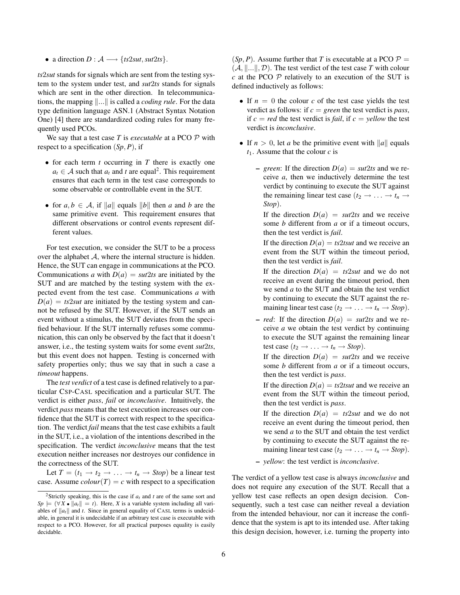• a direction  $D : A \longrightarrow \{ts2sut, sut2ts\}.$ 

*ts*2*sut* stands for signals which are sent from the testing system to the system under test, and *sut*2*ts* stands for signals which are sent in the other direction. In telecommunications, the mapping  $\Vert \dots \Vert$  is called a *coding rule*. For the data type definition language ASN.1 (Abstract Syntax Notation One) [4] there are standardized coding rules for many frequently used PCOs.

We say that a test case *T* is *executable* at a PCO P with respect to a specification (*Sp*, *P*), if

- for each term *t* occurring in *T* there is exactly one  $a_t \in A$  such that  $a_t$  and *t* are equal<sup>2</sup>. This requirement ensures that each term in the test case corresponds to some observable or controllable event in the SUT.
- for  $a, b \in A$ , if  $\|a\|$  equals  $\|b\|$  then *a* and *b* are the same primitive event. This requirement ensures that different observations or control events represent different values.

For test execution, we consider the SUT to be a process over the alphabet  $A$ , where the internal structure is hidden. Hence, the SUT can engage in communications at the PCO. Communications *a* with  $D(a) = \frac{su}{2ts}$  are initiated by the SUT and are matched by the testing system with the expected event from the test case. Communications *a* with  $D(a) = ts2sut$  are initiated by the testing system and cannot be refused by the SUT. However, if the SUT sends an event without a stimulus, the SUT deviates from the specified behaviour. If the SUT internally refuses some communication, this can only be observed by the fact that it doesn't answer, i.e., the testing system waits for some event *sut*2*ts*, but this event does not happen. Testing is concerned with safety properties only; thus we say that in such a case a *timeout* happens.

The *test verdict* of a test case is defined relatively to a particular CSP-CASL specification and a particular SUT. The verdict is either *pass*, *fail* or *inconclusive*. Intuitively, the verdict *pass* means that the test execution increases our confidence that the SUT is correct with respect to the specification. The verdict *fail* means that the test case exhibits a fault in the SUT, i.e., a violation of the intentions described in the specification. The verdict *inconclusive* means that the test execution neither increases nor destroyes our confidence in the correctness of the SUT.

Let  $T = (t_1 \rightarrow t_2 \rightarrow \ldots \rightarrow t_n \rightarrow Stop)$  be a linear test case. Assume  $\text{colour}(T) = c$  with respect to a specification

 $(Sp, P)$ . Assume further that *T* is executable at a PCO  $P =$  $(A, \|\ldots\|, \mathcal{D})$ . The test verdict of the test case *T* with colour *c* at the PCO  $\mathcal P$  relatively to an execution of the SUT is defined inductively as follows:

- If  $n = 0$  the colour *c* of the test case yields the test verdict as follows: if *c* = *green* the test verdict is *pass*, if  $c = red$  the test verdict is *fail*, if  $c =$  *yellow* the test verdict is *inconclusive*.
- If  $n > 0$ , let *a* be the primitive event with ||*a*|| equals *t*1. Assume that the colour *c* is
	- $-$  *green*: If the direction  $D(a) = \frac{sut}{2ts}$  and we receive *a*, then we inductively determine the test verdict by continuing to execute the SUT against the remaining linear test case  $(t_2 \rightarrow \ldots \rightarrow t_n \rightarrow$ *Stop*).

If the direction  $D(a) = sut2ts$  and we receive some *b* different from *a* or if a timeout occurs, then the test verdict is *fail*.

If the direction  $D(a) = ts2tsut$  and we receive an event from the SUT within the timeout period, then the test verdict is *fail*.

If the direction  $D(a) = ts2sut$  and we do not receive an event during the timeout period, then we send *a* to the SUT and obtain the test verdict by continuing to execute the SUT against the remaining linear test case  $(t_2 \rightarrow \ldots \rightarrow t_n \rightarrow Stop)$ .

 $-$  *red*: If the direction  $D(a) = \frac{sut}{2ts}$  and we receive *a* we obtain the test verdict by continuing to execute the SUT against the remaining linear test case  $(t_2 \rightarrow \ldots \rightarrow t_n \rightarrow Stop)$ .

If the direction  $D(a) = \frac{sut}{2ts}$  and we receive some *b* different from *a* or if a timeout occurs, then the test verdict is *pass*.

If the direction  $D(a) = ts2tsut$  and we receive an event from the SUT within the timeout period, then the test verdict is *pass*.

If the direction  $D(a) = ts2sut$  and we do not receive an event during the timeout period, then we send *a* to the SUT and obtain the test verdict by continuing to execute the SUT against the remaining linear test case  $(t_2 \rightarrow \ldots \rightarrow t_n \rightarrow Stop)$ .

– *yellow*: the test verdict is *inconclusive*.

The verdict of a yellow test case is always *inconclusive* and does not require any execution of the SUT. Recall that a yellow test case reflects an open design decision. Consequently, such a test case can neither reveal a deviation from the intended behaviour, nor can it increase the confidence that the system is apt to its intended use. After taking this design decision, however, i.e. turning the property into

<sup>2</sup>Strictly speaking, this is the case if *a<sup>t</sup>* and *t* are of the same sort and  $Sp \models (\forall X \bullet ||a_t|| = t)$ . Here, *X* is a variable system including all variables of  $\|a_t\|$  and *t*. Since in general equality of CASL terms is undecidable, in general it is undecidable if an arbitrary test case is executable with respect to a PCO. However, for all practical purposes equality is easily decidable.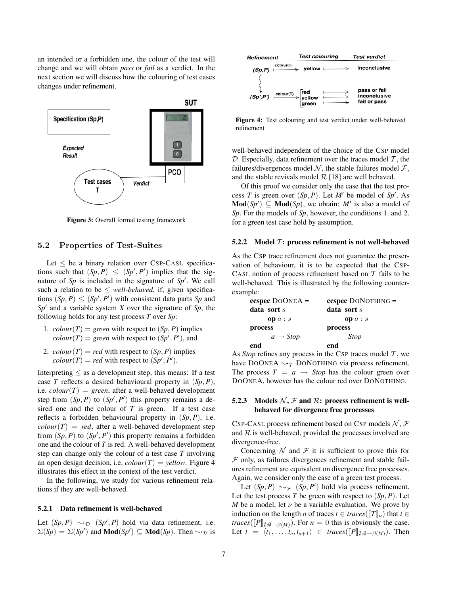an intended or a forbidden one, the colour of the test will change and we will obtain *pass* or *fail* as a verdict. In the next section we will discuss how the colouring of test cases changes under refinement.



Figure 3: Overall formal testing framework

#### 5.2 Properties of Test-Suites

Let  $\leq$  be a binary relation over CSP-CASL specifications such that  $(Sp, P) \le (Sp', P')$  implies that the signature of  $Sp$  is included in the signature of  $Sp'$ . We call such a relation to be  $\le$  *well-behaved*, if, given specifications  $(Sp, P) \le (Sp', P')$  with consistent data parts *Sp* and  $Sp'$  and a variable system *X* over the signature of *Sp*, the following holds for any test process *T* over *Sp*:

- 1. *colour*(*T*) = *green* with respect to  $(Sp, P)$  implies  $\text{colour}(T) = \text{green with respect to } (Sp', P'), \text{and}$
- 2. *colour*(*T*) = *red* with respect to  $(Sp, P)$  implies  $\text{colour}(T) = \text{red}$  with respect to  $(Sp', P')$ .

Interpreting  $\leq$  as a development step, this means: If a test case *T* reflects a desired behavioural property in (*Sp*, *P*), i.e.  $\text{colour}(T) = \text{green}$ , after a well-behaved development step from  $(Sp, P)$  to  $(Sp', P')$  this property remains a desired one and the colour of *T* is green. If a test case reflects a forbidden behavioural property in (*Sp*, *P*), i.e.  $\text{colour}(T) = \text{red}$ , after a well-behaved development step from  $(Sp, P)$  to  $(Sp', P')$  this property remains a forbidden one and the colour of *T* is red. A well-behaved development step can change only the colour of a test case *T* involving an open design decision, i.e.  $\text{colour}(T) = \text{yellow}$ . Figure 4 illustrates this effect in the context of the test verdict.

In the following, we study for various refinement relations if they are well-behaved.

#### 5.2.1 Data refinement is well-behaved

Let  $(Sp, P) \sim_{\mathcal{D}} (Sp', P)$  hold via data refinement, i.e.  $\Sigma(Sp) = \Sigma(Sp')$  and **Mod** $(Sp') \subseteq \textbf{Mod}(Sp)$ . Then  $\rightsquigarrow_{\mathcal{D}}$  is



Figure 4: Test colouring and test verdict under well-behaved refinement

well-behaved independent of the choice of the CSP model  $D$ . Especially, data refinement over the traces model  $T$ , the failures/divergences model N, the stable failures model  $\mathcal{F}$ , and the stable revivals model  $R$  [18] are well behaved.

Of this proof we consider only the case that the test process *T* is green over  $(Sp, P)$ . Let *M'* be model of *Sp'*. As  $\text{Mod}(Sp') \subseteq \text{Mod}(Sp)$ , we obtain: M' is also a model of *Sp*. For the models of *Sp*, however, the conditions 1. and 2. for a green test case hold by assumption.

#### 5.2.2 Model  $\mathcal{T}$ : process refinement is not well-behaved

As the CSP trace refinement does not guarantee the preservation of behaviour, it is to be expected that the CSP-CASL notion of process refinement based on  $T$  fails to be well-behaved. This is illustrated by the following counterexample:

| ccspec $DOONEA =$    | $ccspec$ DONOTHING $=$ |  |  |  |  |
|----------------------|------------------------|--|--|--|--|
| data sort $s$        | data sort $s$          |  |  |  |  |
| op $a : s$           | op $a : s$             |  |  |  |  |
| process              | process                |  |  |  |  |
| $a \rightarrow Stop$ | <b>Stop</b>            |  |  |  |  |
| end                  | end                    |  |  |  |  |

As *Stop* refines any process in the CSP traces model  $T$ , we have DOONEA  $\rightsquigarrow$ T DONOTHING via process refinement. The process  $T = a \rightarrow Stop$  has the colour green over DOONEA, however has the colour red over DONOTHING.

### 5.2.3 Models  $\mathcal{N}, \mathcal{F}$  and  $\mathcal{R}$ : process refinement is wellbehaved for divergence free processes

CSP-CASL process refinement based on CSP models  $N, F$ and  $R$  is well-behaved, provided the processes involved are divergence-free.

Concerning  $N$  and  $\mathcal F$  it is sufficient to prove this for  $F$  only, as failures divergences refinement and stable failures refinement are equivalent on divergence free processes. Again, we consider only the case of a green test process.

Let  $(Sp, P) \rightsquigarrow_{\mathcal{F}} (Sp, P')$  hold via process refinement. Let the test process  $T$  be green with respect to  $(Sp, P)$ . Let *M* be a model, let  $\nu$  be a variable evaluation. We prove by induction on the length *n* of traces  $t \in \text{traces}(\llbracket T \rrbracket_{\nu})$  that  $t \in$ *traces*( $[$ *P* $]_{\emptyset:\emptyset \to \beta(M)}$ *). For n* = 0 this is obviously the case.Let  $t = \langle t_1, \ldots, t_n, t_{n+1} \rangle \in \text{traces}([\![P]\!]_{\emptyset:\emptyset \to \beta(M)})$ . Then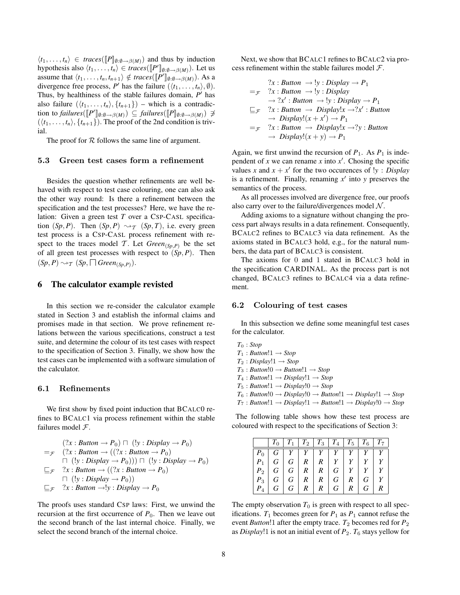$\langle t_1, \ldots, t_n \rangle \in \text{traces}([\![P]\!]_{\emptyset:\emptyset \to \beta(M)})$  and thus by induction hypothesis also  $\langle t_1, \ldots, t_n \rangle \in \text{traces}([\![P']\!]_{\emptyset:\emptyset \to \beta(M)})$ . Let us assume that  $\langle t_1, \ldots, t_n, t_{n+1} \rangle \notin traces([\![P']\!]_{\emptyset:\emptyset \to \beta(M)})$ . As a divergence free process, *P*<sup> $\prime$ </sup> has the failure  $(\langle t_1, \ldots, t_n \rangle, \emptyset)$ . Thus, by healthiness of the stable failures domain,  $P'$  has also failure  $(\langle t_1, \ldots, t_n \rangle, \{t_{n+1}\})$  – which is a contradiction to *failures*( $[$ [*P*'] $]$ <sub> $\emptyset$ : $\emptyset \rightarrow \beta(M)$ )  $\subseteq$  *failures*( $[$ [*P*] $]$  $\emptyset$ : $\emptyset \rightarrow \beta(M)$ )  $\neq$ </sub>  $(\langle t_1, \ldots, t_n \rangle, \{t_{n+1}\})$ . The proof of the 2nd condition is trivial.

The proof for  $R$  follows the same line of argument.

#### 5.3 Green test cases form a refinement

Besides the question whether refinements are well behaved with respect to test case colouring, one can also ask the other way round: Is there a refinement between the specification and the test processes? Here, we have the relation: Given a green test *T* over a CSP-CASL specification  $(Sp, P)$ . Then  $(Sp, P) \rightsquigarrow_T (Sp, T)$ , i.e. every green test process is a CSP-CASL process refinement with respect to the traces model T. Let  $Green_{(Sp,P)}$  be the set of all green test processes with respect to  $(Sp, P)$ . Then  $(Sp, P) \rightsquigarrow_T (Sp, \square \, Green_{(Sp, P)}).$ 

### 6 The calculator example revisted

In this section we re-consider the calculator example stated in Section 3 and establish the informal claims and promises made in that section. We prove refinement relations between the various specifications, construct a test suite, and determine the colour of its test cases with respect to the specification of Section 3. Finally, we show how the test cases can be implemented with a software simulation of the calculator.

### 6.1 Refinements

We first show by fixed point induction that BCALC0 refines to BCALC1 via process refinement within the stable failures model  $F$ .

$$
(?x : Button \rightarrow P_0) \sqcap (!y : Display \rightarrow P_0)
$$
  
= $\mathcal{F}$   $(?x : Button \rightarrow ((?x : Button \rightarrow P_0)$   
 $\sqcap (!y : Display \rightarrow P_0))) \sqcap (!y : Display \rightarrow P_0)$   
 $\sqsubseteq_{\mathcal{F}}$   $?x : Button \rightarrow ((?x : Button \rightarrow P_0)$   
 $\sqcap (!y : Display \rightarrow P_0))$   
 $\sqsubseteq_{\mathcal{F}}$   $?x : Button \rightarrow!y : Display \rightarrow P_0$ 

The proofs uses standard CSP laws: First, we unwind the recursion at the first occurrence of  $P_0$ . Then we leave out the second branch of the last internal choice. Finally, we select the second branch of the internal choice.

Next, we show that BCALC1 refines to BCALC2 via process refinement within the stable failures model  $\mathcal{F}$ .

$$
?x: Button \rightarrow !y: Display \rightarrow P_1
$$
  
= $\mathcal{F}$  ?x: Button \rightarrow !y: Display  
 $\rightarrow ?x'$ : Button \rightarrow !y: Display \rightarrow P\_1  
 $\sqsubseteq_{\mathcal{F}}$  ?x: Button \rightarrow Display!x \rightarrow ?x': Button  
 $\rightarrow Display!(x + x') \rightarrow P_1$   
= $\mathcal{F}$  ?x: Button \rightarrow Display!x \rightarrow ?y: Button  
 $\rightarrow Display!(x + y) \rightarrow P_1$ 

Again, we first unwind the recursion of  $P_1$ . As  $P_1$  is independent of *x* we can rename *x* into  $x'$ . Chosing the specific values *x* and  $x + x'$  for the two occurences of  $y : Display$ is a refinement. Finally, renaming  $x'$  into  $y$  preserves the semantics of the process.

As all processes involved are divergence free, our proofs also carry over to the failure/divergences model  $N$ .

Adding axioms to a signature without changing the process part always results in a data refinement. Consequently, BCALC2 refines to BCALC3 via data refinement. As the axioms stated in BCALC3 hold, e.g., for the natural numbers, the data part of BCALC3 is consistent.

The axioms for 0 and 1 stated in BCALC3 hold in the specification CARDINAL. As the process part is not changed, BCALC3 refines to BCALC4 via a data refinement.

#### 6.2 Colouring of test cases

In this subsection we define some meaningful test cases for the calculator.

- *T*<sup>0</sup> : *Stop*  $T_1$  : *Button*! $1 \rightarrow Stop$  $T_2$  : *Display*! $1 \rightarrow$  *Stop T*<sup>3</sup> : *Button*!0 → *Button*!1 → *Stop*  $T_4$  : *Button*! $1 \rightarrow Display!1 \rightarrow Stop$
- $T_5$ : *Button*! $1 \rightarrow$  *Display*! $0 \rightarrow$  *Stop*
- $T_6$ : *Button*! $0 \rightarrow Display!0 \rightarrow Button!1 \rightarrow Display!1 \rightarrow Stop$
- $T_7$ : *Button*!1  $\rightarrow$  *Display*!1  $\rightarrow$  *Button*!1  $\rightarrow$  *Display*!0  $\rightarrow$  *Stop*

The following table shows how these test process are coloured with respect to the specifications of Section 3:

|         |    |                |                |              | $T_0$   $T_1$   $T_2$   $T_3$   $T_4$   $T_5$   $T_6$   $T_7$ |              |   |                  |
|---------|----|----------------|----------------|--------------|---------------------------------------------------------------|--------------|---|------------------|
| $P_{0}$ |    |                |                |              | $G \mid Y \mid Y \mid Y \mid Y \mid Y \mid Y \mid Y$          |              |   |                  |
| $P_1$   |    |                |                |              | $G \mid G \mid R \mid R \mid Y \mid Y$                        |              |   |                  |
| $P_2$   |    |                |                |              | G   G   R   R   G   Y   Y                                     |              |   | $Y^{\perp}$      |
| $P_{3}$ |    |                |                |              | G   G   R   R   G                                             | R            | G |                  |
| $P_{A}$ | G. | G <sub>1</sub> | R <sup>1</sup> | $\mathbb{R}$ | G                                                             | $\mathbb{R}$ | G | $\boldsymbol{R}$ |

The empty observation  $T_0$  is green with respect to all specifications.  $T_1$  becomes green for  $P_1$  as  $P_1$  cannot refuse the event *Button*! after the empty trace.  $T_2$  becomes red for  $P_2$ as *Display*!1 is not an initial event of  $P_2$ .  $T_6$  stays yellow for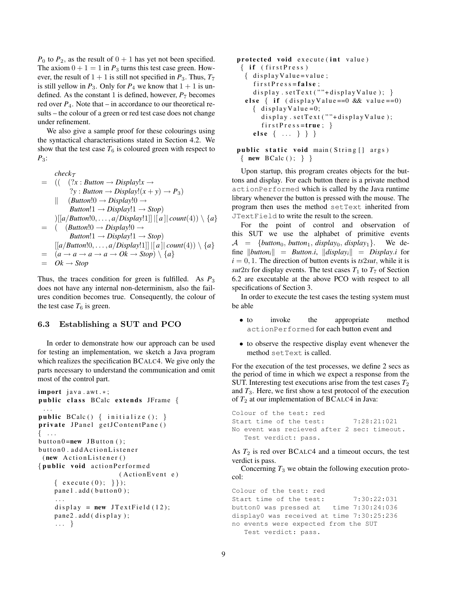$P_0$  to  $P_2$ , as the result of  $0 + 1$  has yet not been specified. The axiom  $0 + 1 = 1$  in  $P_3$  turns this test case green. However, the result of  $1 + 1$  is still not specified in  $P_3$ . Thus,  $T_7$ is still yellow in  $P_3$ . Only for  $P_4$  we know that  $1 + 1$  is undefined. As the constant 1 is defined, however,  $P_7$  becomes red over  $P_4$ . Note that – in accordance to our theoretical results – the colour of a green or red test case does not change under refinement.

We also give a sample proof for these colourings using the syntactical characterisations stated in Section 4.2. We show that the test case  $T_6$  is coloured green with respect to *P*3:

$$
= (( (?x : Button \rightarrow Display!x \rightarrow
$$
  
\n?y : Button \rightarrow Display! (x + y) \rightarrow P<sub>3</sub>)  
\n|| (Button!0 \rightarrow Display!0 \rightarrow  
\n
$$
Button!1 \rightarrow Display!1 \rightarrow Stop)
$$
  
\n
$$
||[a/Button!0, ..., a/Display!1]||[a|| count(4)) \setminus \{a\}
$$
  
\n
$$
= ((Button!0 \rightarrow Display!0 \rightarrow
$$
  
\n
$$
Button!1 \rightarrow Display!1 \rightarrow Stop)
$$
  
\n
$$
[[a/Button!0, ..., a/Display!1]||[a]| count(4)) \setminus \{a\}
$$
  
\n
$$
= (a \rightarrow a \rightarrow a \rightarrow a \rightarrow Ok \rightarrow Stop) \setminus \{a\}
$$
  
\n
$$
= Ok \rightarrow Stop
$$

Thus, the traces condition for green is fulfilled. As  $P_3$ does not have any internal non-determinism, also the failures condition becomes true. Consequently, the colour of the test case  $T_6$  is green.

### 6.3 Establishing a SUT and PCO

In order to demonstrate how our approach can be used for testing an implementation, we sketch a Java program which realizes the specification BCALC4. We give only the parts necessary to understand the communication and omit most of the control part.

```
import java.awt.*;
public class BCalc extends JFrame {
 . . .
public BCalc() \{ initialize (); \}private JPanel getJContentPane ()
\{ \dots \}button 0 = new JButton();button0.addActionListener
 (new ActionListener ()
{ public void action Performed
                       (ActionEvent e)
    { execute (0); } });
    panel. add ( button 0);
     . . .
    display = new JTextField (12);
    pane 2. add (display);
    . . . }
```

```
protected void execute (int value)
 \{ if (first Press){ display Value = value;first Press = false;display.setText(""+displayValue); }
  else { if (displayValue == 0 & dx value == 0){ display Value = 0;
      display.setText(""+displayValue);
      first Pre s s = true;else \{ \ldots \} \}
```

```
public static void main (String [] args)
 \{ new BCalc(); \} }
```
Upon startup, this program creates objects for the buttons and display. For each button there is a private method actionPerformed which is called by the Java runtime library whenever the button is pressed with the mouse. The program then uses the method setText inherited from JTextField to write the result to the screen.

For the point of control and observation of this SUT we use the alphabet of primitive events  $A = \{button_0, button_1, display_0, display_0, display_1\}.$  We define  $\|button_i\| = Button.i, \|\ndisplay_i\| = Display.i$  for  $i = 0, 1$ . The direction of button events is  $ts2sut$ , while it is *sut*2*ts* for display events. The test cases  $T_1$  to  $T_7$  of Section 6.2 are executable at the above PCO with respect to all specifications of Section 3.

In order to execute the test cases the testing system must be able

- to invoke the appropriate method actionPerformed for each button event and
- to observe the respective display event whenever the method setText is called.

For the execution of the test processes, we define 2 secs as the period of time in which we expect a response from the SUT. Interesting test executions arise from the test cases  $T_2$ and  $T_3$ . Here, we first show a test protocol of the execution of  $T_2$  at our implementation of BCALC4 in Java:

Colour of the test: red Start time of the test: 7:28:21:021 No event was recieved after 2 sec: timeout. Test verdict: pass.

As  $T_2$  is red over BCALC4 and a timeout occurs, the test verdict is pass.

Concerning  $T_3$  we obtain the following execution protocol:

Colour of the test: red Start time of the test: 7:30:22:031 button0 was pressed at time 7:30:24:036 display0 was received at time 7:30:25:236 no events were expected from the SUT Test verdict: pass.